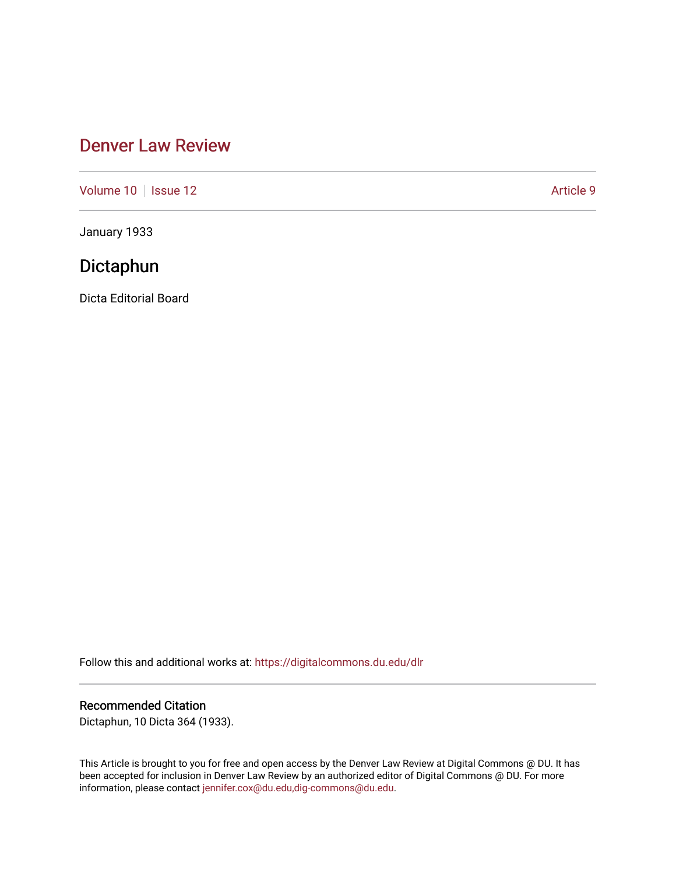# [Denver Law Review](https://digitalcommons.du.edu/dlr)

[Volume 10](https://digitalcommons.du.edu/dlr/vol10) | [Issue 12](https://digitalcommons.du.edu/dlr/vol10/iss12) Article 9

January 1933

# Dictaphun

Dicta Editorial Board

Follow this and additional works at: [https://digitalcommons.du.edu/dlr](https://digitalcommons.du.edu/dlr?utm_source=digitalcommons.du.edu%2Fdlr%2Fvol10%2Fiss12%2F9&utm_medium=PDF&utm_campaign=PDFCoverPages) 

# Recommended Citation

Dictaphun, 10 Dicta 364 (1933).

This Article is brought to you for free and open access by the Denver Law Review at Digital Commons @ DU. It has been accepted for inclusion in Denver Law Review by an authorized editor of Digital Commons @ DU. For more information, please contact [jennifer.cox@du.edu,dig-commons@du.edu.](mailto:jennifer.cox@du.edu,dig-commons@du.edu)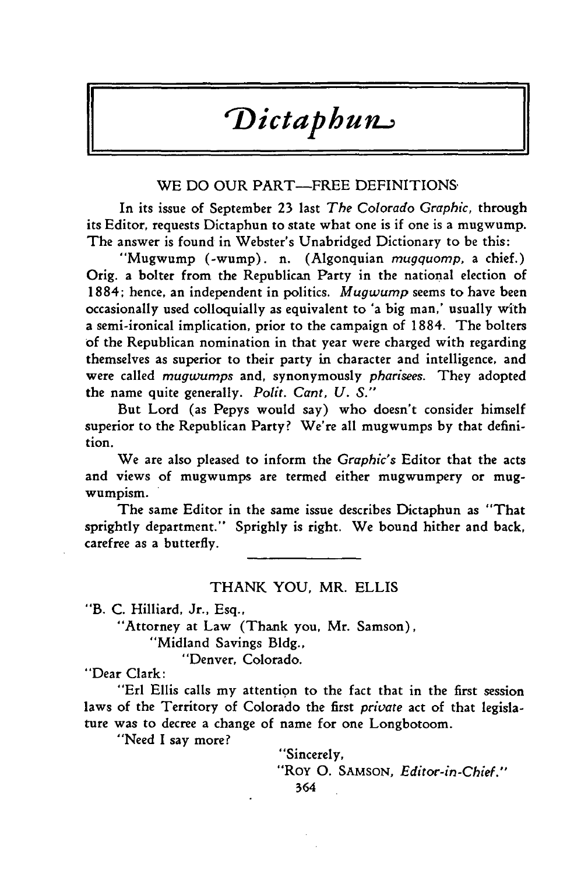# *Dictaphun.;*

# WE DO OUR PART—FREE DEFINITIONS

In its issue of September 23 last *The Colorado Graphic,* through its Editor, requests Dictaphun to state what one is if one is a mugwump. The answer is found in Webster's Unabridged Dictionary to be this:

"Mugwump (-wump). n. (Algonquian *mugquomp,* a chief.) Orig. a bolter from the Republican Party in the national election of 1884; hence, an independent in politics. *Mugwump* seems to have been occasionally used colloquially as equivalent to 'a big man,' usually with a semi-ironical implication, prior to the campaign of 1884. The bolters of the Republican nomination in that year were charged with regarding themselves as superior to their party in character and intelligence, and were called *mugwumps* and, synonymously *pharisees.* They adopted the name quite generally. *Polit. Cant, U. S."*

But Lord (as Pepys would say) who doesn't consider himself superior to the Republican Party? We're all mugwumps by that definition.

We are also pleased to inform the *Graphic's* Editor that the acts and views of mugwumps are termed either mugwumpery or mugwumpism.

The same Editor in the same issue describes Dictaphun as "That sprightly department." Sprighly is right. We bound hither and back, carefree as a butterfly.

# THANK YOU, MR. ELLIS

"B. C. Hilliard, Jr., Esq.,

"Attorney at Law (Thank you, Mr. Samson),

"Midland Savings Bldg.,

"Denver, Colorado.

"Dear Clark:

"Erl Ellis calls my attention to the fact that in the first session laws of the Territory of Colorado the first *private* act of that legislature was to decree a change of name for one Longbotoom.

"Need I say more?

"Sincerely, "Roy **0.** SAMSON, *Editor-in-Chief."*364